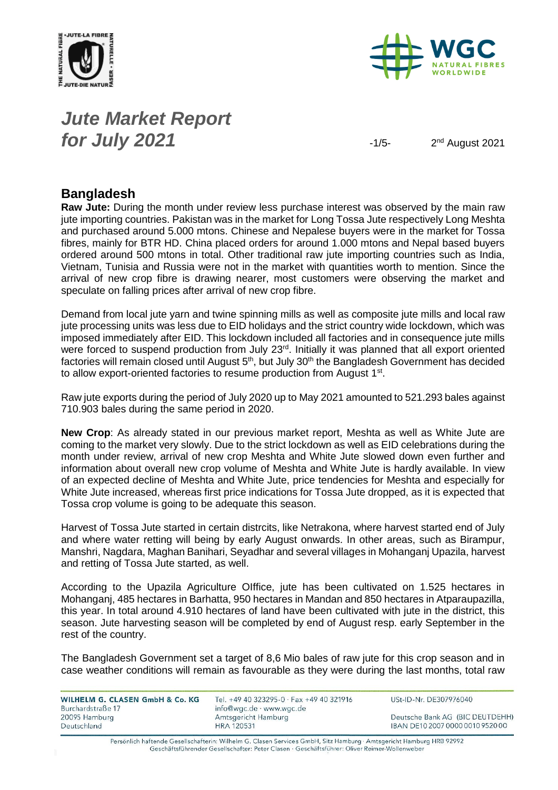



### *Jute Market Report for July 2021*  $-1/5$

2<sup>nd</sup> August 2021

#### **Bangladesh**

**Raw Jute:** During the month under review less purchase interest was observed by the main raw jute importing countries. Pakistan was in the market for Long Tossa Jute respectively Long Meshta and purchased around 5.000 mtons. Chinese and Nepalese buyers were in the market for Tossa fibres, mainly for BTR HD. China placed orders for around 1.000 mtons and Nepal based buyers ordered around 500 mtons in total. Other traditional raw jute importing countries such as India, Vietnam, Tunisia and Russia were not in the market with quantities worth to mention. Since the arrival of new crop fibre is drawing nearer, most customers were observing the market and speculate on falling prices after arrival of new crop fibre.

Demand from local jute yarn and twine spinning mills as well as composite jute mills and local raw jute processing units was less due to EID holidays and the strict country wide lockdown, which was imposed immediately after EID. This lockdown included all factories and in consequence jute mills were forced to suspend production from July  $23<sup>rd</sup>$ . Initially it was planned that all export oriented factories will remain closed until August  $5<sup>th</sup>$ , but July  $30<sup>th</sup>$  the Bangladesh Government has decided to allow export-oriented factories to resume production from August 1<sup>st</sup>.

Raw jute exports during the period of July 2020 up to May 2021 amounted to 521.293 bales against 710.903 bales during the same period in 2020.

**New Crop**: As already stated in our previous market report, Meshta as well as White Jute are coming to the market very slowly. Due to the strict lockdown as well as EID celebrations during the month under review, arrival of new crop Meshta and White Jute slowed down even further and information about overall new crop volume of Meshta and White Jute is hardly available. In view of an expected decline of Meshta and White Jute, price tendencies for Meshta and especially for White Jute increased, whereas first price indications for Tossa Jute dropped, as it is expected that Tossa crop volume is going to be adequate this season.

Harvest of Tossa Jute started in certain distrcits, like Netrakona, where harvest started end of July and where water retting will being by early August onwards. In other areas, such as Birampur, Manshri, Nagdara, Maghan Banihari, Seyadhar and several villages in Mohanganj Upazila, harvest and retting of Tossa Jute started, as well.

According to the Upazila Agriculture OIffice, jute has been cultivated on 1.525 hectares in Mohanganj, 485 hectares in Barhatta, 950 hectares in Mandan and 850 hectares in Atparaupazilla, this year. In total around 4.910 hectares of land have been cultivated with jute in the district, this season. Jute harvesting season will be completed by end of August resp. early September in the rest of the country.

The Bangladesh Government set a target of 8,6 Mio bales of raw jute for this crop season and in case weather conditions will remain as favourable as they were during the last months, total raw

| WILHELM G. CLASEN GmbH & Co. KG | Tel. +49 40 323295-0 $\cdot$ Fax +49 40 321916 | USt-ID-Nr. DE307976040           |
|---------------------------------|------------------------------------------------|----------------------------------|
| Burchardstraße 17               | info@wgc.de · www.wgc.de                       |                                  |
| 20095 Hamburg                   | Amtsgericht Hamburg                            | Deutsche Bank AG (BIC DEUTDEHH)  |
| Deutschland                     | <b>HRA 120531</b>                              | IBAN DE10 2007 0000 0010 9520 00 |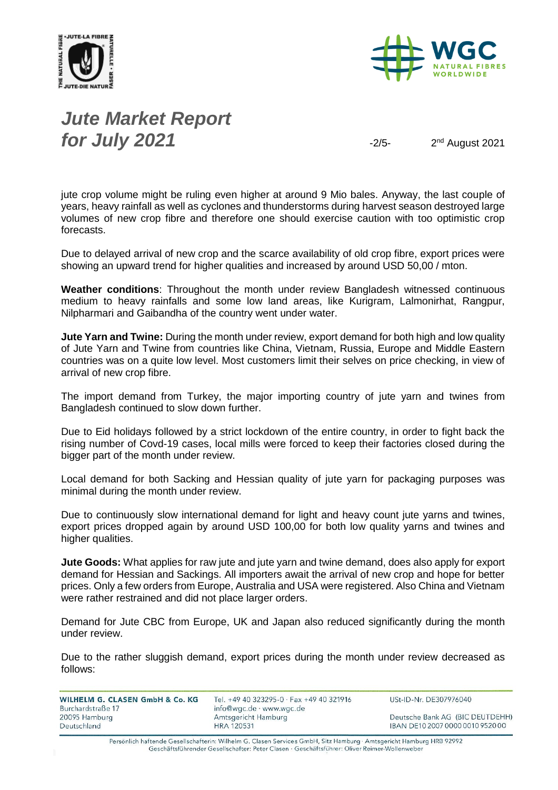



*Jute Market Report for July 2021*  $\frac{2}{5}$ 

2<sup>nd</sup> August 2021

jute crop volume might be ruling even higher at around 9 Mio bales. Anyway, the last couple of years, heavy rainfall as well as cyclones and thunderstorms during harvest season destroyed large volumes of new crop fibre and therefore one should exercise caution with too optimistic crop forecasts.

Due to delayed arrival of new crop and the scarce availability of old crop fibre, export prices were showing an upward trend for higher qualities and increased by around USD 50,00 / mton.

**Weather conditions**: Throughout the month under review Bangladesh witnessed continuous medium to heavy rainfalls and some low land areas, like Kurigram, Lalmonirhat, Rangpur, Nilpharmari and Gaibandha of the country went under water.

**Jute Yarn and Twine:** During the month under review, export demand for both high and low quality of Jute Yarn and Twine from countries like China, Vietnam, Russia, Europe and Middle Eastern countries was on a quite low level. Most customers limit their selves on price checking, in view of arrival of new crop fibre.

The import demand from Turkey, the major importing country of jute yarn and twines from Bangladesh continued to slow down further.

Due to Eid holidays followed by a strict lockdown of the entire country, in order to fight back the rising number of Covd-19 cases, local mills were forced to keep their factories closed during the bigger part of the month under review.

Local demand for both Sacking and Hessian quality of jute yarn for packaging purposes was minimal during the month under review.

Due to continuously slow international demand for light and heavy count jute yarns and twines, export prices dropped again by around USD 100,00 for both low quality yarns and twines and higher qualities.

**Jute Goods:** What applies for raw jute and jute yarn and twine demand, does also apply for export demand for Hessian and Sackings. All importers await the arrival of new crop and hope for better prices. Only a few orders from Europe, Australia and USA were registered. Also China and Vietnam were rather restrained and did not place larger orders.

Demand for Jute CBC from Europe, UK and Japan also reduced significantly during the month under review.

Due to the rather sluggish demand, export prices during the month under review decreased as follows:

WILHELM G. CLASEN GmbH & Co. KG Burchardstraße 17 20095 Hamburg Deutschland

Tel. +49 40 323295-0 · Fax +49 40 321916 info@wgc.de · www.wgc.de Amtsgericht Hamburg **HRA 120531** 

USt-ID-Nr. DE307976040

Deutsche Bank AG (BIC DEUTDEHH) IBAN DE10 2007 0000 0010 9520 00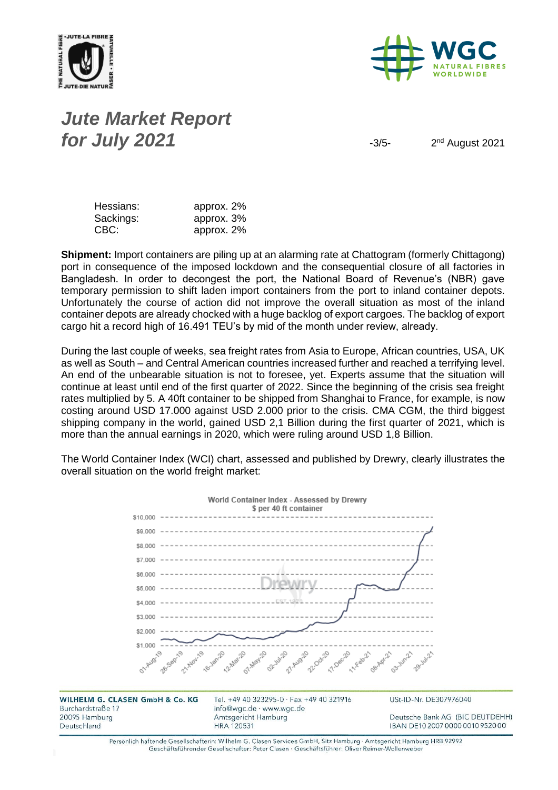



# *Jute Market Report for July 2021*  $\frac{3}{5}$

2<sup>nd</sup> August 2021

| Hessians: | approx. 2% |
|-----------|------------|
| Sackings: | approx. 3% |
| CBC:      | approx. 2% |

**Shipment:** Import containers are piling up at an alarming rate at Chattogram (formerly Chittagong) port in consequence of the imposed lockdown and the consequential closure of all factories in Bangladesh. In order to decongest the port, the National Board of Revenue's (NBR) gave temporary permission to shift laden import containers from the port to inland container depots. Unfortunately the course of action did not improve the overall situation as most of the inland container depots are already chocked with a huge backlog of export cargoes. The backlog of export cargo hit a record high of 16.491 TEU's by mid of the month under review, already.

During the last couple of weeks, sea freight rates from Asia to Europe, African countries, USA, UK as well as South – and Central American countries increased further and reached a terrifying level. An end of the unbearable situation is not to foresee, yet. Experts assume that the situation will continue at least until end of the first quarter of 2022. Since the beginning of the crisis sea freight rates multiplied by 5. A 40ft container to be shipped from Shanghai to France, for example, is now costing around USD 17.000 against USD 2.000 prior to the crisis. CMA CGM, the third biggest shipping company in the world, gained USD 2,1 Billion during the first quarter of 2021, which is more than the annual earnings in 2020, which were ruling around USD 1,8 Billion.

The World Container Index (WCI) chart, assessed and published by Drewry, clearly illustrates the overall situation on the world freight market:



WILHELM G. CLASEN GmbH & Co. KG Burchardstraße 17 20095 Hamburg Deutschland

Tel. +49 40 323295-0 · Fax +49 40 321916 info@wgc.de · www.wgc.de Amtsgericht Hamburg **HRA 120531** 

USt-ID-Nr. DE307976040

Deutsche Bank AG (BIC DEUTDEHH) IBAN DE10 2007 0000 0010 9520 00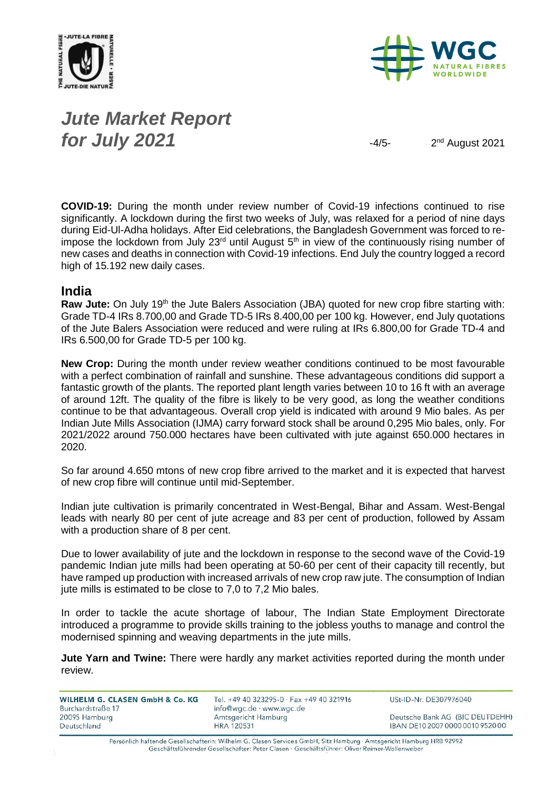



## *Jute Market Report for July 2021*  $\frac{4}{5}$

2<sup>nd</sup> August 2021

**COVID-19:** During the month under review number of Covid-19 infections continued to rise significantly. A lockdown during the first two weeks of July, was relaxed for a period of nine days during Eid-Ul-Adha holidays. After Eid celebrations, the Bangladesh Government was forced to reimpose the lockdown from July  $23<sup>rd</sup>$  until August  $5<sup>th</sup>$  in view of the continuously rising number of new cases and deaths in connection with Covid-19 infections. End July the country logged a record high of 15.192 new daily cases.

#### **India**

**Raw Jute:** On July 19<sup>th</sup> the Jute Balers Association (JBA) quoted for new crop fibre starting with: Grade TD-4 IRs 8.700,00 and Grade TD-5 IRs 8.400,00 per 100 kg. However, end July quotations of the Jute Balers Association were reduced and were ruling at IRs 6.800,00 for Grade TD-4 and IRs 6.500,00 for Grade TD-5 per 100 kg.

**New Crop:** During the month under review weather conditions continued to be most favourable with a perfect combination of rainfall and sunshine. These advantageous conditions did support a fantastic growth of the plants. The reported plant length varies between 10 to 16 ft with an average of around 12ft. The quality of the fibre is likely to be very good, as long the weather conditions continue to be that advantageous. Overall crop yield is indicated with around 9 Mio bales. As per Indian Jute Mills Association (IJMA) carry forward stock shall be around 0,295 Mio bales, only. For 2021/2022 around 750.000 hectares have been cultivated with jute against 650.000 hectares in 2020.

So far around 4.650 mtons of new crop fibre arrived to the market and it is expected that harvest of new crop fibre will continue until mid-September.

Indian jute cultivation is primarily concentrated in West-Bengal, Bihar and Assam. West-Bengal leads with nearly 80 per cent of jute acreage and 83 per cent of production, followed by Assam with a production share of 8 per cent.

Due to lower availability of jute and the lockdown in response to the second wave of the Covid-19 pandemic Indian jute mills had been operating at 50-60 per cent of their capacity till recently, but have ramped up production with increased arrivals of new crop raw jute. The consumption of Indian jute mills is estimated to be close to 7,0 to 7,2 Mio bales.

In order to tackle the acute shortage of labour, The Indian State Employment Directorate introduced a programme to provide skills training to the jobless youths to manage and control the modernised spinning and weaving departments in the jute mills.

**Jute Yarn and Twine:** There were hardly any market activities reported during the month under review.

| WILHELM G. CLASEN GmbH & Co. KG<br>Burchardstraße 17 | Tel. +49 40 323295-0 · Fax +49 40 321916<br>info@wgc.de · www.wgc.de | USt-ID-Nr. DE307976040           |
|------------------------------------------------------|----------------------------------------------------------------------|----------------------------------|
| 20095 Hamburg                                        | Amtsgericht Hamburg                                                  | Deutsche Bank AG (BIC DEUTDEHH)  |
| Deutschland                                          | <b>HRA 120531</b>                                                    | IBAN DE10 2007 0000 0010 9520 00 |